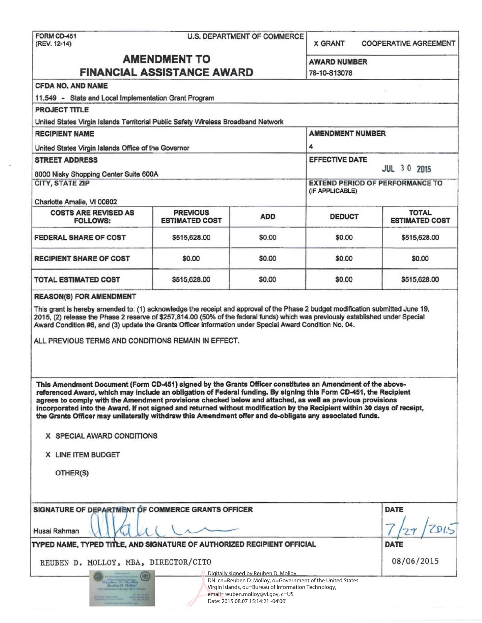| <b>FORM CD-451</b> |  |
|--------------------|--|
| (REV. 12-14)       |  |

#### U.S. DEPARTMENT OF COMMERCE

X GRANT COOPERATIVE AGREEMENT

# AMENDMENT TO AWARD NUMBER FINANCIAL ASSISTANCE AWARD 78-10-S13078

| <b>CFDA NO. AND NAME</b>                                                                                                                                                                                                                                                                                                                                                                                                                                                                                                                                                                                                                                                                                                                                                                                                                                                                                                                               |              |                                                                                                                                                                       |                                                            |              |                                                |
|--------------------------------------------------------------------------------------------------------------------------------------------------------------------------------------------------------------------------------------------------------------------------------------------------------------------------------------------------------------------------------------------------------------------------------------------------------------------------------------------------------------------------------------------------------------------------------------------------------------------------------------------------------------------------------------------------------------------------------------------------------------------------------------------------------------------------------------------------------------------------------------------------------------------------------------------------------|--------------|-----------------------------------------------------------------------------------------------------------------------------------------------------------------------|------------------------------------------------------------|--------------|------------------------------------------------|
| 11.549 - State and Local Implementation Grant Program                                                                                                                                                                                                                                                                                                                                                                                                                                                                                                                                                                                                                                                                                                                                                                                                                                                                                                  |              |                                                                                                                                                                       |                                                            |              |                                                |
| PROJECT TITLE                                                                                                                                                                                                                                                                                                                                                                                                                                                                                                                                                                                                                                                                                                                                                                                                                                                                                                                                          |              |                                                                                                                                                                       |                                                            |              |                                                |
| United States Virgin Islands Territorial Public Safety Wireless Broadband Network                                                                                                                                                                                                                                                                                                                                                                                                                                                                                                                                                                                                                                                                                                                                                                                                                                                                      |              |                                                                                                                                                                       |                                                            |              |                                                |
| <b>RECIPIENT NAME</b>                                                                                                                                                                                                                                                                                                                                                                                                                                                                                                                                                                                                                                                                                                                                                                                                                                                                                                                                  |              |                                                                                                                                                                       | <b>AMENDMENT NUMBER</b>                                    |              |                                                |
| United States Virgin Islands Office of the Governor                                                                                                                                                                                                                                                                                                                                                                                                                                                                                                                                                                                                                                                                                                                                                                                                                                                                                                    |              |                                                                                                                                                                       | 4                                                          |              |                                                |
| <b>STREET ADDRESS</b>                                                                                                                                                                                                                                                                                                                                                                                                                                                                                                                                                                                                                                                                                                                                                                                                                                                                                                                                  |              |                                                                                                                                                                       | <b>EFFECTIVE DATE</b><br><b>JUL 30 2015</b>                |              |                                                |
| 8000 Nisky Shopping Center Suite 600A<br><b>CITY, STATE ZIP</b><br>Charlotte Amalie, VI 00802                                                                                                                                                                                                                                                                                                                                                                                                                                                                                                                                                                                                                                                                                                                                                                                                                                                          |              |                                                                                                                                                                       | <b>EXTEND PERIOD OF PERFORMANCE TO</b><br>(IF APPLICABLE)  |              |                                                |
|                                                                                                                                                                                                                                                                                                                                                                                                                                                                                                                                                                                                                                                                                                                                                                                                                                                                                                                                                        |              |                                                                                                                                                                       |                                                            |              | <b>COSTS ARE REVISED AS</b><br><b>FOLLOWS:</b> |
| <b>FEDERAL SHARE OF COST</b>                                                                                                                                                                                                                                                                                                                                                                                                                                                                                                                                                                                                                                                                                                                                                                                                                                                                                                                           | \$515,628.00 | \$0.00                                                                                                                                                                | \$0.00                                                     | \$515,628.00 |                                                |
| <b>RECIPIENT SHARE OF COST</b>                                                                                                                                                                                                                                                                                                                                                                                                                                                                                                                                                                                                                                                                                                                                                                                                                                                                                                                         | \$0.00       | \$0.00                                                                                                                                                                | \$0.00                                                     | \$0.00       |                                                |
| TOTAL ESTIMATED COST                                                                                                                                                                                                                                                                                                                                                                                                                                                                                                                                                                                                                                                                                                                                                                                                                                                                                                                                   | \$515,628.00 | \$0.00                                                                                                                                                                | \$0.00                                                     | \$515,628.00 |                                                |
| 2015, (2) release the Phase 2 reserve of \$257,814.00 (50% of the federal funds) which was previously established under Special<br>Award Condition #6, and (3) update the Grants Officer information under Special Award Condition No. 04.<br>ALL PREVIOUS TERMS AND CONDITIONS REMAIN IN EFFECT.<br>This Amendment Document (Form CD-451) signed by the Grants Officer constitutes an Amendment of the above-<br>referenced Award, which may include an obligation of Federal funding. By signing this Form CD-451, the Recipient<br>agrees to comply with the Amendment provisions checked below and attached, as well as previous provisions<br>incorporated into the Award. If not signed and returned without modification by the Recipient within 30 days of receipt,<br>the Grants Officer may unilaterally withdraw this Amendment offer and de-obligate any associated funds.<br>X SPECIAL AWARD CONDITIONS<br>X LINE ITEM BUDGET<br>OTHER(S) |              |                                                                                                                                                                       |                                                            |              |                                                |
| SIGNATURE OF DEPARTMENT OF COMMERCE GRANTS OFFICER<br>Husai Rahman                                                                                                                                                                                                                                                                                                                                                                                                                                                                                                                                                                                                                                                                                                                                                                                                                                                                                     |              |                                                                                                                                                                       |                                                            | <b>DATE</b>  |                                                |
| TYPED NAME, TYPED TITLE, AND SIGNATURE OF AUTHORIZED RECIPIENT OFFICIAL                                                                                                                                                                                                                                                                                                                                                                                                                                                                                                                                                                                                                                                                                                                                                                                                                                                                                |              |                                                                                                                                                                       |                                                            | <b>DATE</b>  |                                                |
| REUBEN D. MOLLOY, MBA, DIRECTOR/CITO                                                                                                                                                                                                                                                                                                                                                                                                                                                                                                                                                                                                                                                                                                                                                                                                                                                                                                                   |              |                                                                                                                                                                       |                                                            | 08/06/2015   |                                                |
| <b>IET</b><br>Meisben D. Muller                                                                                                                                                                                                                                                                                                                                                                                                                                                                                                                                                                                                                                                                                                                                                                                                                                                                                                                        |              | Digitally signed by Reuben D. Molloy<br>Virgin Islands, ou=Bureau of Information Technology,<br>email=reuben.molloy@vi.gov, c=US<br>Date: 2015.08.07 15:14:21 -04'00' | DN: cn=Reuben D. Molloy, o=Government of the United States |              |                                                |